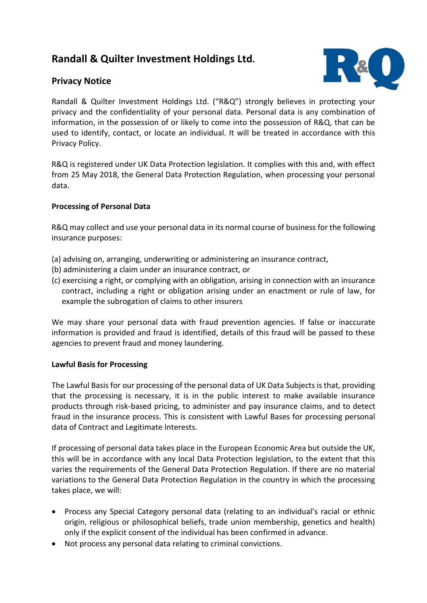# **Randall & Quilter Investment Holdings Ltd.**

# **Privacy Notice**



Randall & Quilter Investment Holdings Ltd. ("R&Q") strongly believes in protecting your privacy and the confidentiality of your personal data. Personal data is any combination of information, in the possession of or likely to come into the possession of R&Q, that can be used to identify, contact, or locate an individual. It will be treated in accordance with this Privacy Policy.

R&Q is registered under UK Data Protection legislation. It complies with this and, with effect from 25 May 2018, the General Data Protection Regulation, when processing your personal data.

# **Processing of Personal Data**

R&Q may collect and use your personal data in its normal course of business for the following insurance purposes:

- (a) advising on, arranging, underwriting or administering an insurance contract,
- (b) administering a claim under an insurance contract, or
- (c) exercising a right, or complying with an obligation, arising in connection with an insurance contract, including a right or obligation arising under an enactment or rule of law, for example the subrogation of claims to other insurers

We may share your personal data with fraud prevention agencies. If false or inaccurate information is provided and fraud is identified, details of this fraud will be passed to these agencies to prevent fraud and money laundering.

#### **Lawful Basis for Processing**

The Lawful Basis for our processing of the personal data of UK Data Subjects is that, providing that the processing is necessary, it is in the public interest to make available insurance products through risk-based pricing, to administer and pay insurance claims, and to detect fraud in the insurance process. This is consistent with Lawful Bases for processing personal data of Contract and Legitimate Interests.

If processing of personal data takes place in the European Economic Area but outside the UK, this will be in accordance with any local Data Protection legislation, to the extent that this varies the requirements of the General Data Protection Regulation. If there are no material variations to the General Data Protection Regulation in the country in which the processing takes place, we will:

- Process any Special Category personal data (relating to an individual's racial or ethnic origin, religious or philosophical beliefs, trade union membership, genetics and health) only if the explicit consent of the individual has been confirmed in advance.
- Not process any personal data relating to criminal convictions.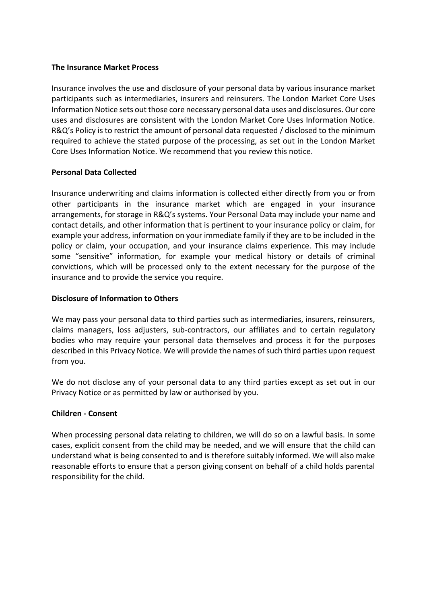#### **The Insurance Market Process**

Insurance involves the use and disclosure of your personal data by various insurance market participants such as intermediaries, insurers and reinsurers. The London Market Core Uses Information Notice sets out those core necessary personal data uses and disclosures. Our core uses and disclosures are consistent with the London Market Core Uses Information Notice. R&Q's Policy is to restrict the amount of personal data requested / disclosed to the minimum required to achieve the stated purpose of the processing, as set out in the London Market Core Uses Information Notice. We recommend that you review this notice.

# **Personal Data Collected**

Insurance underwriting and claims information is collected either directly from you or from other participants in the insurance market which are engaged in your insurance arrangements, for storage in R&Q's systems. Your Personal Data may include your name and contact details, and other information that is pertinent to your insurance policy or claim, for example your address, information on your immediate family if they are to be included in the policy or claim, your occupation, and your insurance claims experience. This may include some "sensitive" information, for example your medical history or details of criminal convictions, which will be processed only to the extent necessary for the purpose of the insurance and to provide the service you require.

# **Disclosure of Information to Others**

We may pass your personal data to third parties such as intermediaries, insurers, reinsurers, claims managers, loss adjusters, sub-contractors, our affiliates and to certain regulatory bodies who may require your personal data themselves and process it for the purposes described in this Privacy Notice. We will provide the names of such third parties upon request from you.

We do not disclose any of your personal data to any third parties except as set out in our Privacy Notice or as permitted by law or authorised by you.

# **Children - Consent**

When processing personal data relating to children, we will do so on a lawful basis. In some cases, explicit consent from the child may be needed, and we will ensure that the child can understand what is being consented to and is therefore suitably informed. We will also make reasonable efforts to ensure that a person giving consent on behalf of a child holds parental responsibility for the child.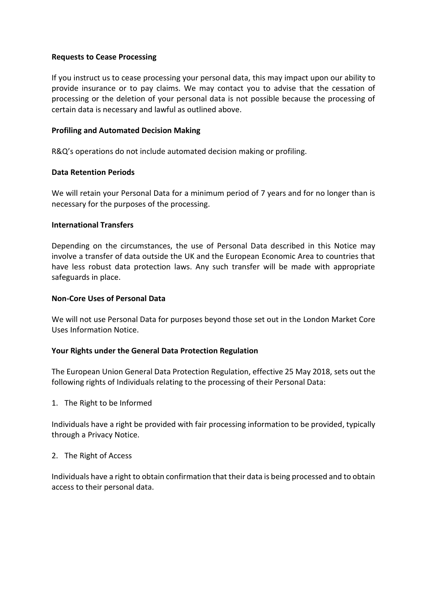# **Requests to Cease Processing**

If you instruct us to cease processing your personal data, this may impact upon our ability to provide insurance or to pay claims. We may contact you to advise that the cessation of processing or the deletion of your personal data is not possible because the processing of certain data is necessary and lawful as outlined above.

# **Profiling and Automated Decision Making**

R&Q's operations do not include automated decision making or profiling.

# **Data Retention Periods**

We will retain your Personal Data for a minimum period of 7 years and for no longer than is necessary for the purposes of the processing.

# **International Transfers**

Depending on the circumstances, the use of Personal Data described in this Notice may involve a transfer of data outside the UK and the European Economic Area to countries that have less robust data protection laws. Any such transfer will be made with appropriate safeguards in place.

# **Non-Core Uses of Personal Data**

We will not use Personal Data for purposes beyond those set out in the London Market Core Uses Information Notice.

#### **Your Rights under the General Data Protection Regulation**

The European Union General Data Protection Regulation, effective 25 May 2018, sets out the following rights of Individuals relating to the processing of their Personal Data:

1. The Right to be Informed

Individuals have a right be provided with fair processing information to be provided, typically through a Privacy Notice.

#### 2. The Right of Access

Individuals have a right to obtain confirmation that their data is being processed and to obtain access to their personal data.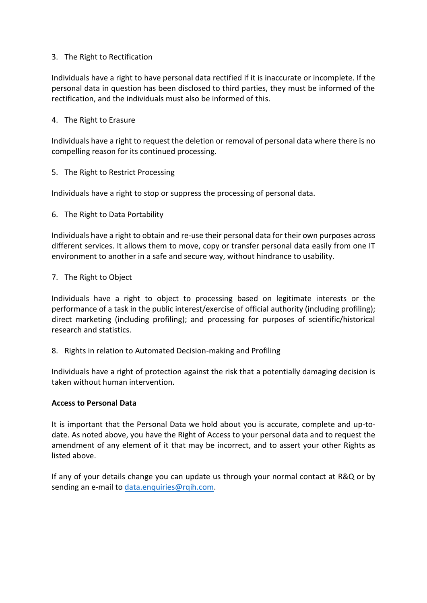# 3. The Right to Rectification

Individuals have a right to have personal data rectified if it is inaccurate or incomplete. If the personal data in question has been disclosed to third parties, they must be informed of the rectification, and the individuals must also be informed of this.

#### 4. The Right to Erasure

Individuals have a right to request the deletion or removal of personal data where there is no compelling reason for its continued processing.

# 5. The Right to Restrict Processing

Individuals have a right to stop or suppress the processing of personal data.

6. The Right to Data Portability

Individuals have a right to obtain and re-use their personal data for their own purposes across different services. It allows them to move, copy or transfer personal data easily from one IT environment to another in a safe and secure way, without hindrance to usability.

# 7. The Right to Object

Individuals have a right to object to processing based on legitimate interests or the performance of a task in the public interest/exercise of official authority (including profiling); direct marketing (including profiling); and processing for purposes of scientific/historical research and statistics.

8. Rights in relation to Automated Decision-making and Profiling

Individuals have a right of protection against the risk that a potentially damaging decision is taken without human intervention.

#### **Access to Personal Data**

It is important that the Personal Data we hold about you is accurate, complete and up-todate. As noted above, you have the Right of Access to your personal data and to request the amendment of any element of it that may be incorrect, and to assert your other Rights as listed above.

If any of your details change you can update us through your normal contact at R&Q or by sending an e-mail t[o data.enquiries@rqih.com.](mailto:data.enquiries@rqih.com)